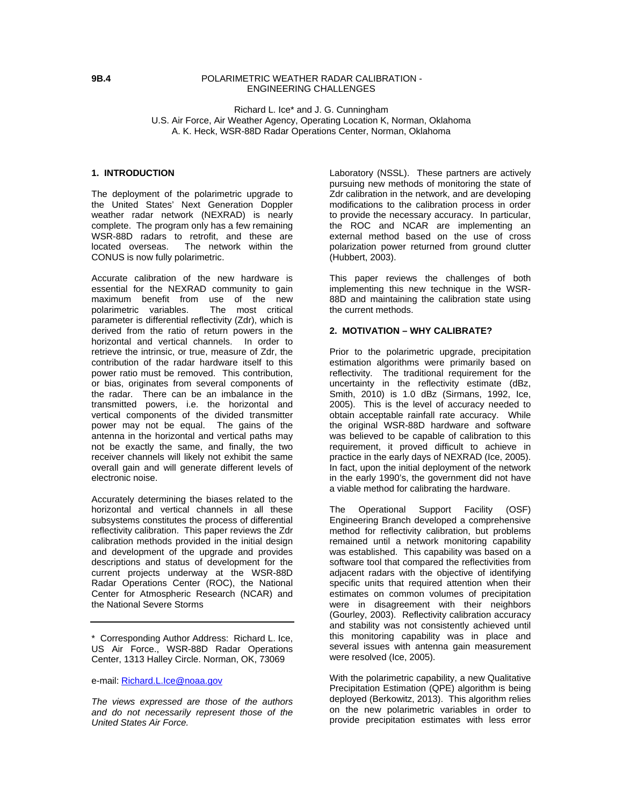### **9B.4** POLARIMETRIC WEATHER RADAR CALIBRATION - ENGINEERING CHALLENGES

### Richard L. Ice\* and J. G. Cunningham U.S. Air Force, Air Weather Agency, Operating Location K, Norman, Oklahoma A. K. Heck, WSR-88D Radar Operations Center, Norman, Oklahoma

### **1. INTRODUCTION**

The deployment of the polarimetric upgrade to the United States' Next Generation Doppler weather radar network (NEXRAD) is nearly complete. The program only has a few remaining WSR-88D radars to retrofit, and these are located overseas. The network within the CONUS is now fully polarimetric.

Accurate calibration of the new hardware is essential for the NEXRAD community to gain maximum benefit from use of the new polarimetric variables. The most critical parameter is differential reflectivity (Zdr), which is derived from the ratio of return powers in the horizontal and vertical channels. In order to retrieve the intrinsic, or true, measure of Zdr, the contribution of the radar hardware itself to this power ratio must be removed. This contribution, or bias, originates from several components of the radar. There can be an imbalance in the transmitted powers, i.e. the horizontal and vertical components of the divided transmitter power may not be equal. The gains of the antenna in the horizontal and vertical paths may not be exactly the same, and finally, the two receiver channels will likely not exhibit the same overall gain and will generate different levels of electronic noise.

Accurately determining the biases related to the horizontal and vertical channels in all these subsystems constitutes the process of differential reflectivity calibration. This paper reviews the Zdr calibration methods provided in the initial design and development of the upgrade and provides descriptions and status of development for the current projects underway at the WSR-88D Radar Operations Center (ROC), the National Center for Atmospheric Research (NCAR) and the National Severe Storms

*The views expressed are those of the authors and do not necessarily represent those of the United States Air Force.* 

Laboratory (NSSL). These partners are actively pursuing new methods of monitoring the state of Zdr calibration in the network, and are developing modifications to the calibration process in order to provide the necessary accuracy. In particular, the ROC and NCAR are implementing an external method based on the use of cross polarization power returned from ground clutter (Hubbert, 2003).

This paper reviews the challenges of both implementing this new technique in the WSR-88D and maintaining the calibration state using the current methods.

# **2. MOTIVATION – WHY CALIBRATE?**

Prior to the polarimetric upgrade, precipitation estimation algorithms were primarily based on reflectivity. The traditional requirement for the uncertainty in the reflectivity estimate (dBz, Smith, 2010) is 1.0 dBz (Sirmans, 1992, Ice, 2005). This is the level of accuracy needed to obtain acceptable rainfall rate accuracy. While the original WSR-88D hardware and software was believed to be capable of calibration to this requirement, it proved difficult to achieve in practice in the early days of NEXRAD (Ice, 2005). In fact, upon the initial deployment of the network in the early 1990's, the government did not have a viable method for calibrating the hardware.

The Operational Support Facility (OSF) Engineering Branch developed a comprehensive method for reflectivity calibration, but problems remained until a network monitoring capability was established. This capability was based on a software tool that compared the reflectivities from adjacent radars with the objective of identifying specific units that required attention when their estimates on common volumes of precipitation were in disagreement with their neighbors (Gourley, 2003). Reflectivity calibration accuracy and stability was not consistently achieved until this monitoring capability was in place and several issues with antenna gain measurement were resolved (Ice, 2005).

With the polarimetric capability, a new Qualitative Precipitation Estimation (QPE) algorithm is being deployed (Berkowitz, 2013). This algorithm relies on the new polarimetric variables in order to provide precipitation estimates with less error

<sup>\*</sup> Corresponding Author Address: Richard L. Ice, US Air Force., WSR-88D Radar Operations Center, 1313 Halley Circle. Norman, OK, 73069

e-mail: Richard.L.Ice@noaa.gov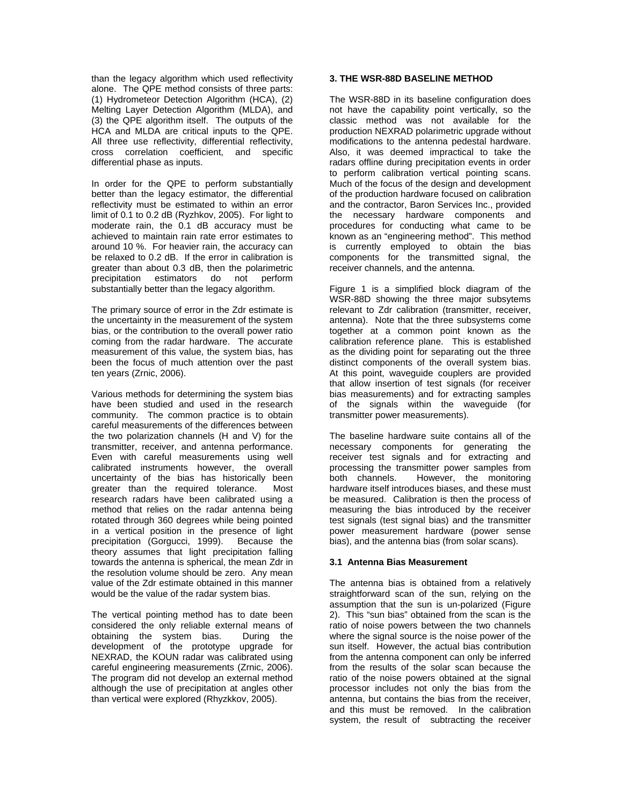than the legacy algorithm which used reflectivity alone. The QPE method consists of three parts: (1) Hydrometeor Detection Algorithm (HCA), (2) Melting Layer Detection Algorithm (MLDA), and (3) the QPE algorithm itself. The outputs of the HCA and MLDA are critical inputs to the QPE. All three use reflectivity, differential reflectivity, cross correlation coefficient, and specific differential phase as inputs.

In order for the QPE to perform substantially better than the legacy estimator, the differential reflectivity must be estimated to within an error limit of 0.1 to 0.2 dB (Ryzhkov, 2005). For light to moderate rain, the 0.1 dB accuracy must be achieved to maintain rain rate error estimates to around 10 %. For heavier rain, the accuracy can be relaxed to 0.2 dB. If the error in calibration is greater than about 0.3 dB, then the polarimetric precipitation estimators do not perform substantially better than the legacy algorithm.

The primary source of error in the Zdr estimate is the uncertainty in the measurement of the system bias, or the contribution to the overall power ratio coming from the radar hardware. The accurate measurement of this value, the system bias, has been the focus of much attention over the past ten years (Zrnic, 2006).

Various methods for determining the system bias have been studied and used in the research community. The common practice is to obtain careful measurements of the differences between the two polarization channels (H and V) for the transmitter, receiver, and antenna performance. Even with careful measurements using well calibrated instruments however, the overall uncertainty of the bias has historically been greater than the required tolerance. Most research radars have been calibrated using a method that relies on the radar antenna being rotated through 360 degrees while being pointed in a vertical position in the presence of light precipitation (Gorgucci, 1999). Because the theory assumes that light precipitation falling towards the antenna is spherical, the mean Zdr in the resolution volume should be zero. Any mean value of the Zdr estimate obtained in this manner would be the value of the radar system bias.

The vertical pointing method has to date been considered the only reliable external means of obtaining the system bias. During the development of the prototype upgrade for NEXRAD, the KOUN radar was calibrated using careful engineering measurements (Zrnic, 2006). The program did not develop an external method although the use of precipitation at angles other than vertical were explored (Rhyzkkov, 2005).

# **3. THE WSR-88D BASELINE METHOD**

The WSR-88D in its baseline configuration does not have the capability point vertically, so the classic method was not available for the production NEXRAD polarimetric upgrade without modifications to the antenna pedestal hardware. Also, it was deemed impractical to take the radars offline during precipitation events in order to perform calibration vertical pointing scans. Much of the focus of the design and development of the production hardware focused on calibration and the contractor, Baron Services Inc., provided the necessary hardware components and procedures for conducting what came to be known as an "engineering method". This method is currently employed to obtain the bias components for the transmitted signal, the receiver channels, and the antenna.

Figure 1 is a simplified block diagram of the WSR-88D showing the three major subsytems relevant to Zdr calibration (transmitter, receiver, antenna). Note that the three subsystems come together at a common point known as the calibration reference plane. This is established as the dividing point for separating out the three distinct components of the overall system bias. At this point, waveguide couplers are provided that allow insertion of test signals (for receiver bias measurements) and for extracting samples of the signals within the waveguide (for transmitter power measurements).

The baseline hardware suite contains all of the necessary components for generating the receiver test signals and for extracting and processing the transmitter power samples from both channels. However, the monitoring hardware itself introduces biases, and these must be measured. Calibration is then the process of measuring the bias introduced by the receiver test signals (test signal bias) and the transmitter power measurement hardware (power sense bias), and the antenna bias (from solar scans).

### **3.1 Antenna Bias Measurement**

The antenna bias is obtained from a relatively straightforward scan of the sun, relying on the assumption that the sun is un-polarized (Figure 2). This "sun bias" obtained from the scan is the ratio of noise powers between the two channels where the signal source is the noise power of the sun itself. However, the actual bias contribution from the antenna component can only be inferred from the results of the solar scan because the ratio of the noise powers obtained at the signal processor includes not only the bias from the antenna, but contains the bias from the receiver, and this must be removed. In the calibration system, the result of subtracting the receiver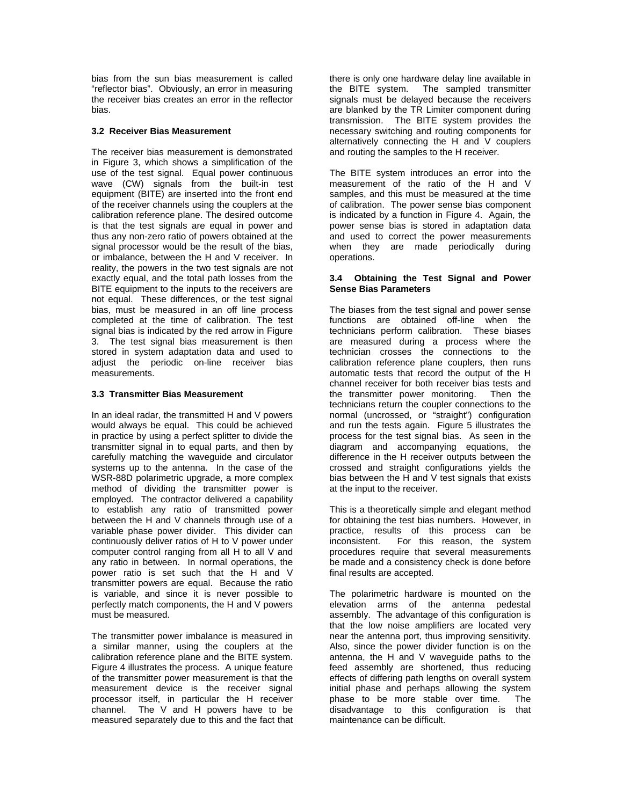bias from the sun bias measurement is called "reflector bias". Obviously, an error in measuring the receiver bias creates an error in the reflector bias.

## **3.2 Receiver Bias Measurement**

The receiver bias measurement is demonstrated in Figure 3, which shows a simplification of the use of the test signal. Equal power continuous wave (CW) signals from the built-in test equipment (BITE) are inserted into the front end of the receiver channels using the couplers at the calibration reference plane. The desired outcome is that the test signals are equal in power and thus any non-zero ratio of powers obtained at the signal processor would be the result of the bias, or imbalance, between the H and V receiver. In reality, the powers in the two test signals are not exactly equal, and the total path losses from the BITE equipment to the inputs to the receivers are not equal. These differences, or the test signal bias, must be measured in an off line process completed at the time of calibration. The test signal bias is indicated by the red arrow in Figure 3. The test signal bias measurement is then stored in system adaptation data and used to adjust the periodic on-line receiver bias measurements.

## **3.3 Transmitter Bias Measurement**

In an ideal radar, the transmitted H and V powers would always be equal. This could be achieved in practice by using a perfect splitter to divide the transmitter signal in to equal parts, and then by carefully matching the waveguide and circulator systems up to the antenna. In the case of the WSR-88D polarimetric upgrade, a more complex method of dividing the transmitter power is employed. The contractor delivered a capability to establish any ratio of transmitted power between the H and V channels through use of a variable phase power divider. This divider can continuously deliver ratios of H to V power under computer control ranging from all H to all V and any ratio in between. In normal operations, the power ratio is set such that the H and V transmitter powers are equal. Because the ratio is variable, and since it is never possible to perfectly match components, the H and V powers must be measured.

The transmitter power imbalance is measured in a similar manner, using the couplers at the calibration reference plane and the BITE system. Figure 4 illustrates the process. A unique feature of the transmitter power measurement is that the measurement device is the receiver signal processor itself, in particular the H receiver<br>channel. The V and H powers have to be The V and H powers have to be measured separately due to this and the fact that

there is only one hardware delay line available in<br>the BITE system. The sampled transmitter The sampled transmitter signals must be delayed because the receivers are blanked by the TR Limiter component during transmission. The BITE system provides the necessary switching and routing components for alternatively connecting the H and V couplers and routing the samples to the H receiver.

The BITE system introduces an error into the measurement of the ratio of the H and V samples, and this must be measured at the time of calibration. The power sense bias component is indicated by a function in Figure 4. Again, the power sense bias is stored in adaptation data and used to correct the power measurements when they are made periodically during operations.

### **3.4 Obtaining the Test Signal and Power Sense Bias Parameters**

The biases from the test signal and power sense functions are obtained off-line when the technicians perform calibration. These biases are measured during a process where the technician crosses the connections to the calibration reference plane couplers, then runs automatic tests that record the output of the H channel receiver for both receiver bias tests and the transmitter power monitoring. Then the technicians return the coupler connections to the normal (uncrossed, or "straight") configuration and run the tests again. Figure 5 illustrates the process for the test signal bias. As seen in the diagram and accompanying equations, the difference in the H receiver outputs between the crossed and straight configurations yields the bias between the H and V test signals that exists at the input to the receiver.

This is a theoretically simple and elegant method for obtaining the test bias numbers. However, in practice, results of this process can be inconsistent. For this reason, the system procedures require that several measurements be made and a consistency check is done before final results are accepted.

The polarimetric hardware is mounted on the elevation arms of the antenna pedestal assembly. The advantage of this configuration is that the low noise amplifiers are located very near the antenna port, thus improving sensitivity. Also, since the power divider function is on the antenna, the H and V waveguide paths to the feed assembly are shortened, thus reducing effects of differing path lengths on overall system initial phase and perhaps allowing the system phase to be more stable over time. The disadvantage to this configuration is that maintenance can be difficult.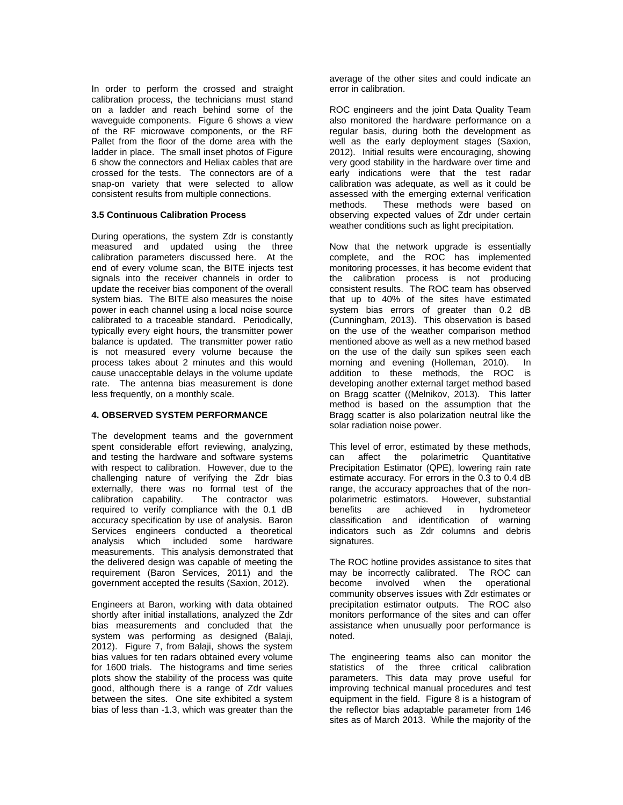In order to perform the crossed and straight calibration process, the technicians must stand on a ladder and reach behind some of the waveguide components. Figure 6 shows a view of the RF microwave components, or the RF Pallet from the floor of the dome area with the ladder in place. The small inset photos of Figure 6 show the connectors and Heliax cables that are crossed for the tests. The connectors are of a snap-on variety that were selected to allow consistent results from multiple connections.

### **3.5 Continuous Calibration Process**

During operations, the system Zdr is constantly measured and updated using the three calibration parameters discussed here. At the end of every volume scan, the BITE injects test signals into the receiver channels in order to update the receiver bias component of the overall system bias. The BITE also measures the noise power in each channel using a local noise source calibrated to a traceable standard. Periodically, typically every eight hours, the transmitter power balance is updated. The transmitter power ratio is not measured every volume because the process takes about 2 minutes and this would cause unacceptable delays in the volume update rate. The antenna bias measurement is done less frequently, on a monthly scale.

### **4. OBSERVED SYSTEM PERFORMANCE**

The development teams and the government spent considerable effort reviewing, analyzing, and testing the hardware and software systems with respect to calibration. However, due to the challenging nature of verifying the Zdr bias externally, there was no formal test of the calibration capability. The contractor was required to verify compliance with the 0.1 dB accuracy specification by use of analysis. Baron Services engineers conducted a theoretical analysis which included some hardware measurements. This analysis demonstrated that the delivered design was capable of meeting the requirement (Baron Services, 2011) and the government accepted the results (Saxion, 2012).

Engineers at Baron, working with data obtained shortly after initial installations, analyzed the Zdr bias measurements and concluded that the system was performing as designed (Balaji, 2012). Figure 7, from Balaji, shows the system bias values for ten radars obtained every volume for 1600 trials. The histograms and time series plots show the stability of the process was quite good, although there is a range of Zdr values between the sites. One site exhibited a system bias of less than -1.3, which was greater than the

average of the other sites and could indicate an error in calibration.

ROC engineers and the joint Data Quality Team also monitored the hardware performance on a regular basis, during both the development as well as the early deployment stages (Saxion, 2012). Initial results were encouraging, showing very good stability in the hardware over time and early indications were that the test radar calibration was adequate, as well as it could be assessed with the emerging external verification methods. These methods were based on observing expected values of Zdr under certain weather conditions such as light precipitation.

Now that the network upgrade is essentially complete, and the ROC has implemented monitoring processes, it has become evident that the calibration process is not producing consistent results. The ROC team has observed that up to 40% of the sites have estimated system bias errors of greater than 0.2 dB (Cunningham, 2013). This observation is based on the use of the weather comparison method mentioned above as well as a new method based on the use of the daily sun spikes seen each morning and evening (Holleman, 2010). In addition to these methods, the ROC is developing another external target method based on Bragg scatter ((Melnikov, 2013). This latter method is based on the assumption that the Bragg scatter is also polarization neutral like the solar radiation noise power.

This level of error, estimated by these methods, can affect the polarimetric Quantitative Precipitation Estimator (QPE), lowering rain rate estimate accuracy. For errors in the 0.3 to 0.4 dB range, the accuracy approaches that of the nonpolarimetric estimators. However, substantial benefits are achieved in hydrometeor classification and identification of warning indicators such as Zdr columns and debris signatures.

The ROC hotline provides assistance to sites that may be incorrectly calibrated. The ROC can become involved when the operational community observes issues with Zdr estimates or precipitation estimator outputs. The ROC also monitors performance of the sites and can offer assistance when unusually poor performance is noted.

The engineering teams also can monitor the statistics of the three critical calibration parameters. This data may prove useful for improving technical manual procedures and test equipment in the field. Figure 8 is a histogram of the reflector bias adaptable parameter from 146 sites as of March 2013. While the majority of the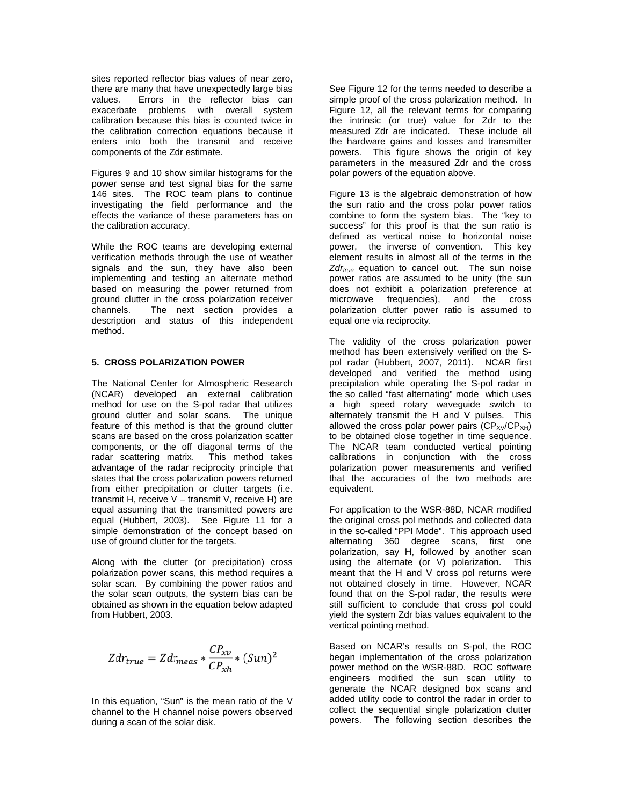sites reported reflector bias values of near zero, there are many that have unexpectedly large bias Errors in the reflector bias can values. exacerbate problems with overall system calibration because this bias is counted twice in the calibration correction equations because it enters into both the transmit and receive components of the Zdr estimate.

Figures 9 and 10 show similar histograms for the power sense and test signal bias for the same 146 sites. The ROC team plans to continue investigating the field performance and the effects the variance of these parameters has on the calibration accuracy.

While the ROC teams are developing external verification methods through the use of weather signals and the sun, they have also been implementing and testing an alternate method based on measuring the power returned from ground clutter in the cross polarization receiver The next section provides a channels. description and status of this independent method.

### 5. CROSS POLARIZATION POWER

The National Center for Atmospheric Research (NCAR) developed an external calibration method for use on the S-pol radar that utilizes ground clutter and solar scans. The unique feature of this method is that the ground clutter scans are based on the cross polarization scatter components, or the off diagonal terms of the radar scattering matrix. This method takes advantage of the radar reciprocity principle that states that the cross polarization powers returned from either precipitation or clutter targets (i.e. transmit H, receive V - transmit V, receive H) are equal assuming that the transmitted powers are equal (Hubbert, 2003). See Figure 11 for a simple demonstration of the concept based on use of ground clutter for the targets.

Along with the clutter (or precipitation) cross polarization power scans, this method requires a solar scan. By combining the power ratios and the solar scan outputs, the system bias can be obtained as shown in the equation below adapted from Hubbert, 2003.

$$
Z dr_{true} = Z dr_{meas} * \frac{C P_{xv}}{C P_{xh}} * (Sun)^2
$$

In this equation, "Sun" is the mean ratio of the V channel to the H channel noise powers observed during a scan of the solar disk.

See Figure 12 for the terms needed to describe a simple proof of the cross polarization method. In Figure 12, all the relevant terms for comparing the intrinsic (or true) value for Zdr to the measured Zdr are indicated. These include all the hardware gains and losses and transmitter powers. This figure shows the origin of key parameters in the measured Zdr and the cross .<br>polar powers of the equation above.

Figure 13 is the algebraic demonstration of how the sun ratio and the cross polar power ratios combine to form the system bias. The "key to success" for this proof is that the sun ratio is defined as vertical noise to horizontal noise power, the inverse of convention. This key element results in almost all of the terms in the  $Zdr_{true}$  equation to cancel out. The sun noise power ratios are assumed to be unity (the sun does not exhibit a polarization preference at microwave frequencies), and the cross polarization clutter power ratio is assumed to equal one via reciprocity.

The validity of the cross polarization power method has been extensively verified on the Spol radar (Hubbert, 2007, 2011). NCAR first developed and verified the method using precipitation while operating the S-pol radar in the so called "fast alternating" mode which uses a high speed rotary waveguide switch to alternately transmit the H and V pulses. This allowed the cross polar power pairs  $(CP_{XY}/CP_{XH})$ to be obtained close together in time sequence. The NCAR team conducted vertical pointing calibrations in conjunction with the cross polarization power measurements and verified that the accuracies of the two methods are equivalent.

For application to the WSR-88D, NCAR modified the original cross pol methods and collected data in the so-called "PPI Mode". This approach used alternating 360 degree scans, first one polarization, say H, followed by another scan using the alternate (or V) polarization. This meant that the H and V cross pol returns were not obtained closely in time. However, NCAR found that on the S-pol radar, the results were still sufficient to conclude that cross pol could yield the system Zdr bias values equivalent to the vertical pointing method.

Based on NCAR's results on S-pol, the ROC began implementation of the cross polarization power method on the WSR-88D. ROC software engineers modified the sun scan utility to generate the NCAR designed box scans and added utility code to control the radar in order to collect the sequential single polarization clutter powers. The following section describes the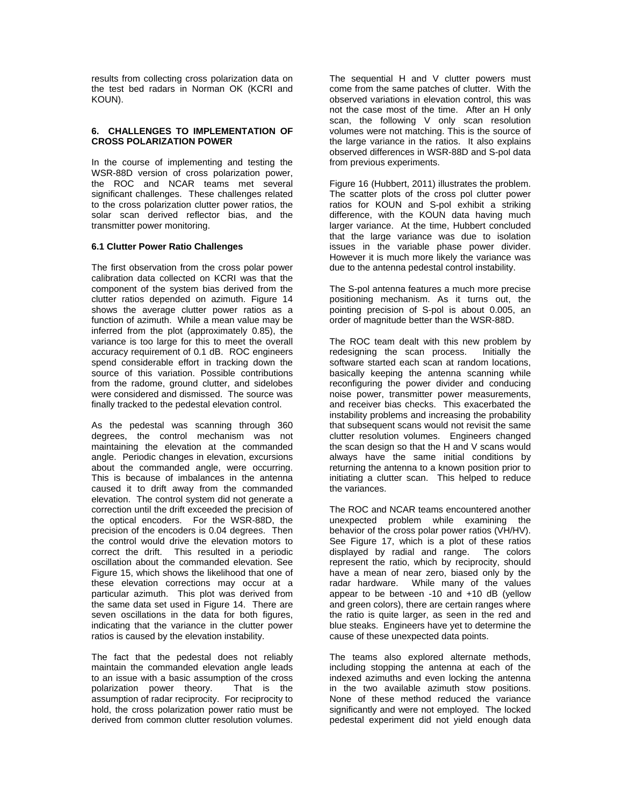results from collecting cross polarization data on the test bed radars in Norman OK (KCRI and KOUN).

### **6. CHALLENGES TO IMPLEMENTATION OF CROSS POLARIZATION POWER**

In the course of implementing and testing the WSR-88D version of cross polarization power, the ROC and NCAR teams met several significant challenges. These challenges related to the cross polarization clutter power ratios, the solar scan derived reflector bias, and the transmitter power monitoring.

## **6.1 Clutter Power Ratio Challenges**

The first observation from the cross polar power calibration data collected on KCRI was that the component of the system bias derived from the clutter ratios depended on azimuth. Figure 14 shows the average clutter power ratios as a function of azimuth. While a mean value may be inferred from the plot (approximately 0.85), the variance is too large for this to meet the overall accuracy requirement of 0.1 dB. ROC engineers spend considerable effort in tracking down the source of this variation. Possible contributions from the radome, ground clutter, and sidelobes were considered and dismissed. The source was finally tracked to the pedestal elevation control.

As the pedestal was scanning through 360 degrees, the control mechanism was not maintaining the elevation at the commanded angle. Periodic changes in elevation, excursions about the commanded angle, were occurring. This is because of imbalances in the antenna caused it to drift away from the commanded elevation. The control system did not generate a correction until the drift exceeded the precision of the optical encoders. For the WSR-88D, the precision of the encoders is 0.04 degrees. Then the control would drive the elevation motors to correct the drift. This resulted in a periodic oscillation about the commanded elevation. See Figure 15, which shows the likelihood that one of these elevation corrections may occur at a particular azimuth. This plot was derived from the same data set used in Figure 14. There are seven oscillations in the data for both figures, indicating that the variance in the clutter power ratios is caused by the elevation instability.

The fact that the pedestal does not reliably maintain the commanded elevation angle leads to an issue with a basic assumption of the cross polarization power theory. That is the assumption of radar reciprocity. For reciprocity to hold, the cross polarization power ratio must be derived from common clutter resolution volumes.

The sequential H and V clutter powers must come from the same patches of clutter. With the observed variations in elevation control, this was not the case most of the time. After an H only scan, the following V only scan resolution volumes were not matching. This is the source of the large variance in the ratios. It also explains observed differences in WSR-88D and S-pol data from previous experiments.

Figure 16 (Hubbert, 2011) illustrates the problem. The scatter plots of the cross pol clutter power ratios for KOUN and S-pol exhibit a striking difference, with the KOUN data having much larger variance. At the time, Hubbert concluded that the large variance was due to isolation issues in the variable phase power divider. However it is much more likely the variance was due to the antenna pedestal control instability.

The S-pol antenna features a much more precise positioning mechanism. As it turns out, the pointing precision of S-pol is about 0.005, an order of magnitude better than the WSR-88D.

The ROC team dealt with this new problem by redesigning the scan process. Initially the software started each scan at random locations, basically keeping the antenna scanning while reconfiguring the power divider and conducing noise power, transmitter power measurements, and receiver bias checks. This exacerbated the instability problems and increasing the probability that subsequent scans would not revisit the same clutter resolution volumes. Engineers changed the scan design so that the H and V scans would always have the same initial conditions by returning the antenna to a known position prior to initiating a clutter scan. This helped to reduce the variances.

The ROC and NCAR teams encountered another unexpected problem while examining the behavior of the cross polar power ratios (VH/HV). See Figure 17, which is a plot of these ratios displayed by radial and range. The colors represent the ratio, which by reciprocity, should have a mean of near zero, biased only by the radar hardware. While many of the values appear to be between -10 and +10 dB (yellow and green colors), there are certain ranges where the ratio is quite larger, as seen in the red and blue steaks. Engineers have yet to determine the cause of these unexpected data points.

The teams also explored alternate methods, including stopping the antenna at each of the indexed azimuths and even locking the antenna in the two available azimuth stow positions. None of these method reduced the variance significantly and were not employed. The locked pedestal experiment did not yield enough data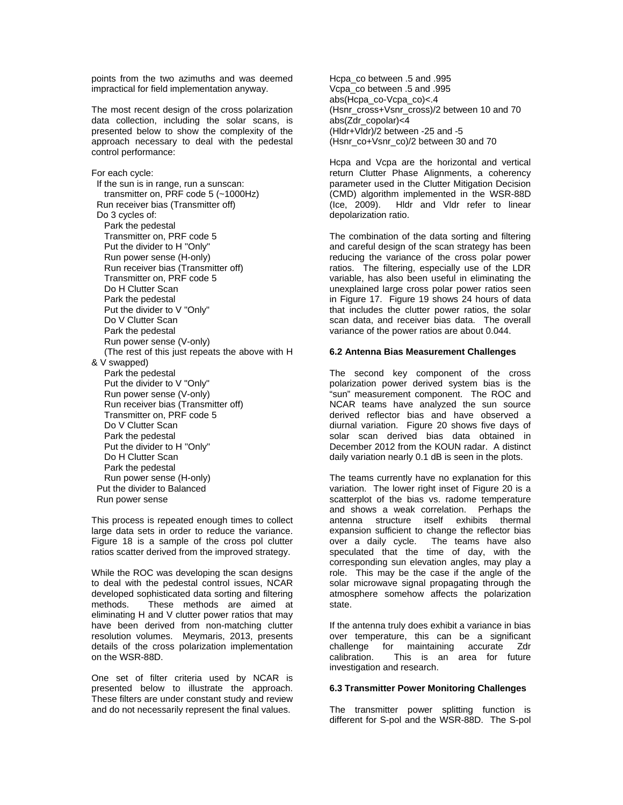points from the two azimuths and was deemed impractical for field implementation anyway.

The most recent design of the cross polarization data collection, including the solar scans, is presented below to show the complexity of the approach necessary to deal with the pedestal control performance:

For each cycle: If the sun is in range, run a sunscan: transmitter on, PRF code 5 (~1000Hz) Run receiver bias (Transmitter off) Do 3 cycles of: Park the pedestal Transmitter on, PRF code 5 Put the divider to H "Only" Run power sense (H-only) Run receiver bias (Transmitter off) Transmitter on, PRF code 5 Do H Clutter Scan Park the pedestal Put the divider to V "Only" Do V Clutter Scan Park the pedestal Run power sense (V-only) (The rest of this just repeats the above with H & V swapped) Park the pedestal Put the divider to V "Only" Run power sense (V-only) Run receiver bias (Transmitter off) Transmitter on, PRF code 5 Do V Clutter Scan Park the pedestal Put the divider to H "Only" Do H Clutter Scan Park the pedestal Run power sense (H-only) Put the divider to Balanced Run power sense

This process is repeated enough times to collect large data sets in order to reduce the variance. Figure 18 is a sample of the cross pol clutter ratios scatter derived from the improved strategy.

While the ROC was developing the scan designs to deal with the pedestal control issues, NCAR developed sophisticated data sorting and filtering methods. These methods are aimed at eliminating H and V clutter power ratios that may have been derived from non-matching clutter resolution volumes. Meymaris, 2013, presents details of the cross polarization implementation on the WSR-88D.

One set of filter criteria used by NCAR is presented below to illustrate the approach. These filters are under constant study and review and do not necessarily represent the final values.

Hcpa\_co between .5 and .995 Vcpa\_co between .5 and .995 abs(Hcpa\_co-Vcpa\_co)<.4 (Hsnr\_cross+Vsnr\_cross)/2 between 10 and 70 abs(Zdr\_copolar)<4 (Hldr+Vldr)/2 between -25 and -5 (Hsnr\_co+Vsnr\_co)/2 between 30 and 70

Hcpa and Vcpa are the horizontal and vertical return Clutter Phase Alignments, a coherency parameter used in the Clutter Mitigation Decision (CMD) algorithm implemented in the WSR-88D (Ice, 2009). Hldr and Vldr refer to linear depolarization ratio.

The combination of the data sorting and filtering and careful design of the scan strategy has been reducing the variance of the cross polar power ratios. The filtering, especially use of the LDR variable, has also been useful in eliminating the unexplained large cross polar power ratios seen in Figure 17. Figure 19 shows 24 hours of data that includes the clutter power ratios, the solar scan data, and receiver bias data. The overall variance of the power ratios are about 0.044.

#### **6.2 Antenna Bias Measurement Challenges**

The second key component of the cross polarization power derived system bias is the "sun" measurement component. The ROC and NCAR teams have analyzed the sun source derived reflector bias and have observed a diurnal variation. Figure 20 shows five days of solar scan derived bias data obtained in December 2012 from the KOUN radar. A distinct daily variation nearly 0.1 dB is seen in the plots.

The teams currently have no explanation for this variation. The lower right inset of Figure 20 is a scatterplot of the bias vs. radome temperature and shows a weak correlation. Perhaps the antenna structure itself exhibits thermal expansion sufficient to change the reflector bias over a daily cycle. The teams have also speculated that the time of day, with the corresponding sun elevation angles, may play a role. This may be the case if the angle of the solar microwave signal propagating through the atmosphere somehow affects the polarization state.

If the antenna truly does exhibit a variance in bias over temperature, this can be a significant challenge for maintaining accurate Zdr calibration. This is an area for future investigation and research.

#### **6.3 Transmitter Power Monitoring Challenges**

The transmitter power splitting function is different for S-pol and the WSR-88D. The S-pol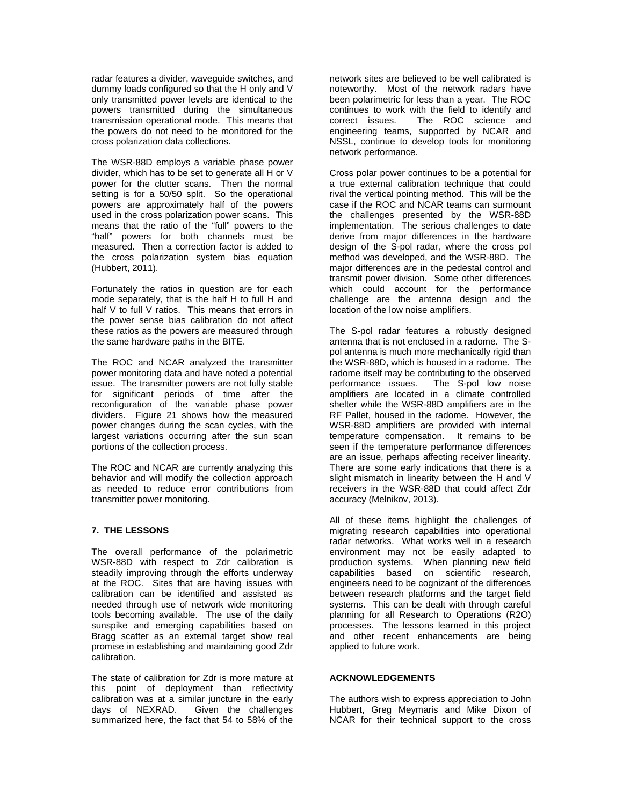radar features a divider, waveguide switches, and dummy loads configured so that the H only and V only transmitted power levels are identical to the powers transmitted during the simultaneous transmission operational mode. This means that the powers do not need to be monitored for the cross polarization data collections.

The WSR-88D employs a variable phase power divider, which has to be set to generate all H or V power for the clutter scans. Then the normal setting is for a 50/50 split. So the operational powers are approximately half of the powers used in the cross polarization power scans. This means that the ratio of the "full" powers to the "half" powers for both channels must be measured. Then a correction factor is added to the cross polarization system bias equation (Hubbert, 2011).

Fortunately the ratios in question are for each mode separately, that is the half H to full H and half V to full V ratios. This means that errors in the power sense bias calibration do not affect these ratios as the powers are measured through the same hardware paths in the BITE.

The ROC and NCAR analyzed the transmitter power monitoring data and have noted a potential issue. The transmitter powers are not fully stable for significant periods of time after the reconfiguration of the variable phase power dividers. Figure 21 shows how the measured power changes during the scan cycles, with the largest variations occurring after the sun scan portions of the collection process.

The ROC and NCAR are currently analyzing this behavior and will modify the collection approach as needed to reduce error contributions from transmitter power monitoring.

## **7. THE LESSONS**

The overall performance of the polarimetric WSR-88D with respect to Zdr calibration is steadily improving through the efforts underway at the ROC. Sites that are having issues with calibration can be identified and assisted as needed through use of network wide monitoring tools becoming available. The use of the daily sunspike and emerging capabilities based on Bragg scatter as an external target show real promise in establishing and maintaining good Zdr calibration.

The state of calibration for Zdr is more mature at this point of deployment than reflectivity calibration was at a similar juncture in the early<br>days of NEXRAD. Given the challenges Given the challenges summarized here, the fact that 54 to 58% of the

network sites are believed to be well calibrated is noteworthy. Most of the network radars have been polarimetric for less than a year. The ROC continues to work with the field to identify and correct issues. The ROC science and engineering teams, supported by NCAR and NSSL, continue to develop tools for monitoring network performance.

Cross polar power continues to be a potential for a true external calibration technique that could rival the vertical pointing method. This will be the case if the ROC and NCAR teams can surmount the challenges presented by the WSR-88D implementation. The serious challenges to date derive from major differences in the hardware design of the S-pol radar, where the cross pol method was developed, and the WSR-88D. The major differences are in the pedestal control and transmit power division. Some other differences which could account for the performance challenge are the antenna design and the location of the low noise amplifiers.

The S-pol radar features a robustly designed antenna that is not enclosed in a radome. The Spol antenna is much more mechanically rigid than the WSR-88D, which is housed in a radome. The radome itself may be contributing to the observed performance issues. The S-pol low noise amplifiers are located in a climate controlled shelter while the WSR-88D amplifiers are in the RF Pallet, housed in the radome. However, the WSR-88D amplifiers are provided with internal temperature compensation. It remains to be seen if the temperature performance differences are an issue, perhaps affecting receiver linearity. There are some early indications that there is a slight mismatch in linearity between the H and V receivers in the WSR-88D that could affect Zdr accuracy (Melnikov, 2013).

All of these items highlight the challenges of migrating research capabilities into operational radar networks. What works well in a research environment may not be easily adapted to production systems. When planning new field capabilities based on scientific research, engineers need to be cognizant of the differences between research platforms and the target field systems. This can be dealt with through careful planning for all Research to Operations (R2O) processes. The lessons learned in this project and other recent enhancements are being applied to future work.

### **ACKNOWLEDGEMENTS**

The authors wish to express appreciation to John Hubbert, Greg Meymaris and Mike Dixon of NCAR for their technical support to the cross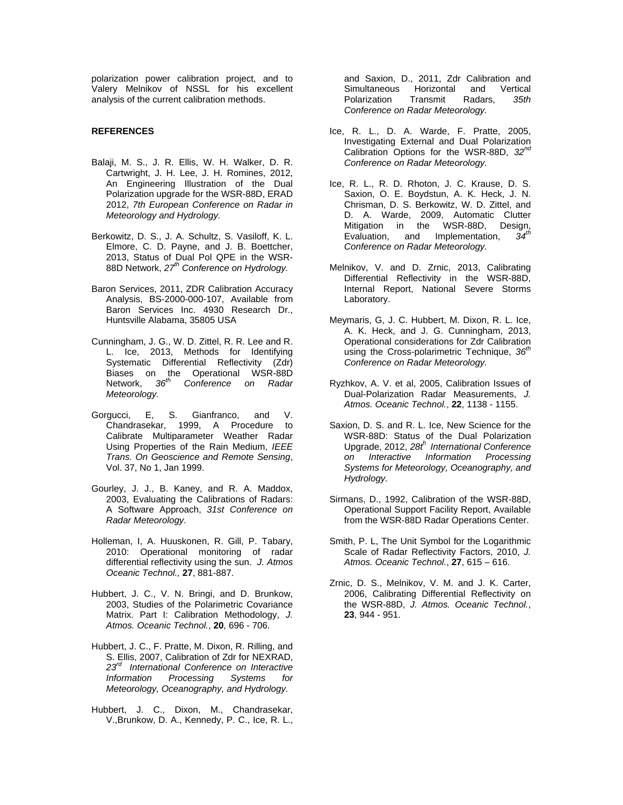polarization power calibration project, and to Valery Melnikov of NSSL for his excellent analysis of the current calibration methods.

## **REFERENCES**

- Balaji, M. S., J. R. Ellis, W. H. Walker, D. R. Cartwright, J. H. Lee, J. H. Romines, 2012, An Engineering Illustration of the Dual Polarization upgrade for the WSR-88D, ERAD 2012, *7th European Conference on Radar in Meteorology and Hydrology.*
- Berkowitz, D. S., J. A. Schultz, S. Vasiloff, K. L. Elmore, C. D. Payne, and J. B. Boettcher, 2013, Status of Dual Pol QPE in the WSR-88D Network, *27th Conference on Hydrology.*
- Baron Services, 2011, ZDR Calibration Accuracy Analysis, BS-2000-000-107, Available from Baron Services Inc. 4930 Research Dr., Huntsville Alabama, 35805 USA
- Cunningham, J. G., W. D. Zittel, R. R. Lee and R. L. Ice, 2013, Methods for Identifying Systematic Differential Reflectivity (Zdr) Biases on the Operational WSR-88D<br>Network, 36<sup>th</sup> Conference on Radar Network, *36th Conference on Radar Meteorology.*
- Gorgucci, E, S. Gianfranco, and V. Chandrasekar, 1999, A Procedure to Calibrate Multiparameter Weather Radar Using Properties of the Rain Medium, *IEEE Trans. On Geoscience and Remote Sensing*, Vol. 37, No 1, Jan 1999.
- Gourley, J. J., B. Kaney, and R. A. Maddox, 2003, Evaluating the Calibrations of Radars: A Software Approach, *31st Conference on Radar Meteorology.*
- Holleman, I, A. Huuskonen, R. Gill, P. Tabary, 2010: Operational monitoring of radar differential reflectivity using the sun. *J. Atmos Oceanic Technol.,* **27**, 881-887.
- Hubbert, J. C., V. N. Bringi, and D. Brunkow, 2003, Studies of the Polarimetric Covariance Matrix. Part I: Calibration Methodology, *J. Atmos. Oceanic Technol.*, **20**, 696 - 706.
- Hubbert, J. C., F. Pratte, M. Dixon, R. Rilling, and S. Ellis, 2007, Calibration of Zdr for NEXRAD, *23rd International Conference on Interactive Information Processing Systems for Meteorology, Oceanography, and Hydrology.*
- Hubbert, J. C., Dixon, M., Chandrasekar, V.,Brunkow, D. A., Kennedy, P. C., Ice, R. L.,

and Saxion, D., 2011, Zdr Calibration and Simultaneous Horizontal and Vertical Polarization Transmit Radars, *35th Conference on Radar Meteorology.*

- Ice, R. L., D. A. Warde, F. Pratte, 2005, Investigating External and Dual Polarization Calibration Options for the WSR-88D, *32nd Conference on Radar Meteorology.*
- Ice, R. L., R. D. Rhoton, J. C. Krause, D. S. Saxion, O. E. Boydstun, A. K. Heck, J. N. Chrisman, D. S. Berkowitz, W. D. Zittel, and D. A. Warde, 2009, Automatic Clutter Mitigation in the WSR-88D, Design,<br>Evaluation, and Implementation 34<sup>th</sup> Evaluation, and Implementation, *Conference on Radar Meteorology.*
- Melnikov, V. and D. Zrnic, 2013, Calibrating Differential Reflectivity in the WSR-88D, Internal Report, National Severe Storms Laboratory.
- Meymaris, G, J. C. Hubbert, M. Dixon, R. L. Ice, A. K. Heck, and J. G. Cunningham, 2013, Operational considerations for Zdr Calibration using the Cross-polarimetric Technique, *36th Conference on Radar Meteorology.*
- Ryzhkov, A. V. et al, 2005, Calibration Issues of Dual-Polarization Radar Measurements, *J. Atmos. Oceanic Technol.*, **22**, 1138 - 1155.
- Saxion, D. S. and R. L. Ice, New Science for the WSR-88D: Status of the Dual Polarization Upgrade, 2012, *28th International Conference on Interactive Information Systems for Meteorology, Oceanography, and Hydrology.*
- Sirmans, D., 1992, Calibration of the WSR-88D, Operational Support Facility Report, Available from the WSR-88D Radar Operations Center.
- Smith, P. L, The Unit Symbol for the Logarithmic Scale of Radar Reflectivity Factors, 2010, *J. Atmos. Oceanic Technol.*, **27**, 615 – 616.
- Zrnic, D. S., Melnikov, V. M. and J. K. Carter, 2006, Calibrating Differential Reflectivity on the WSR-88D, *J. Atmos. Oceanic Technol.*, **23**, 944 - 951.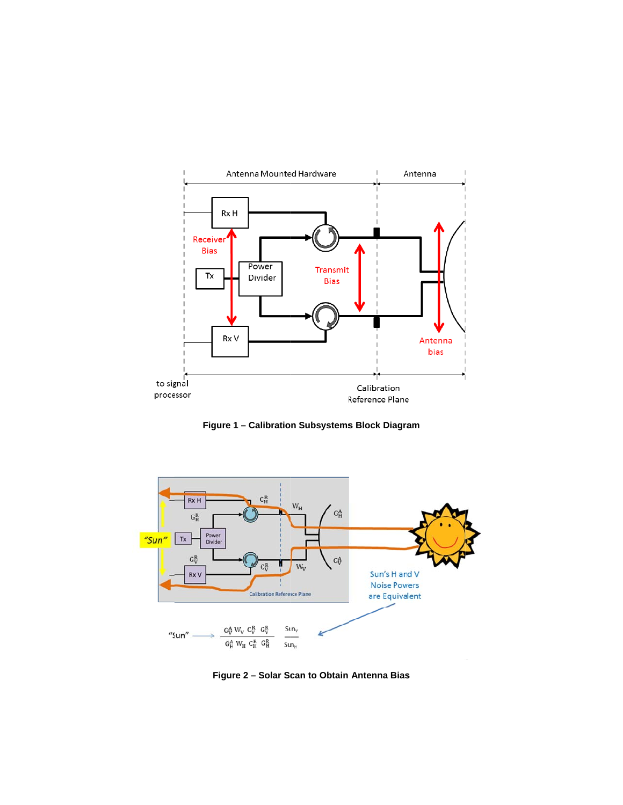

Figure 1 - Calibration Subsystems Block Diagram



Figure 2 - Solar Scan to Obtain Antenna Bias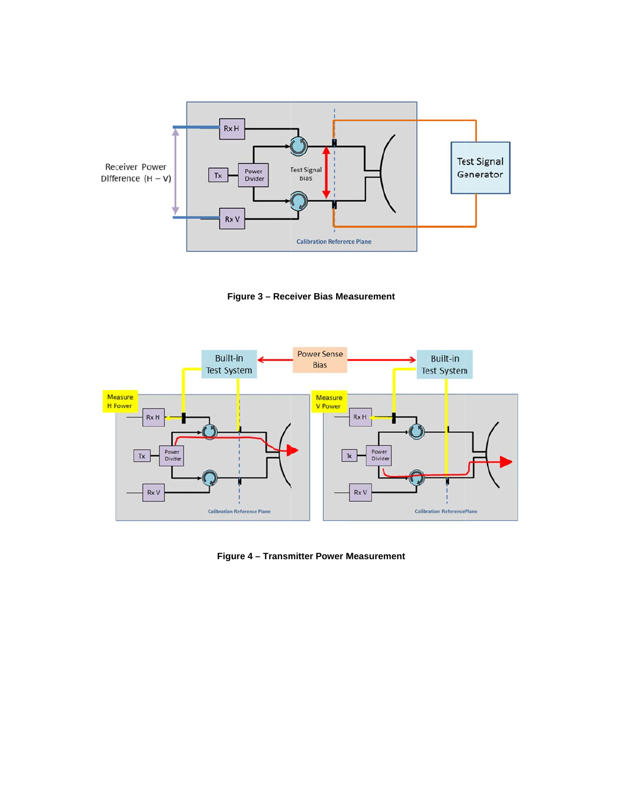

Figure 3 - Receiver Bias Measurement



Figure 4 - Transmitter Power Measurement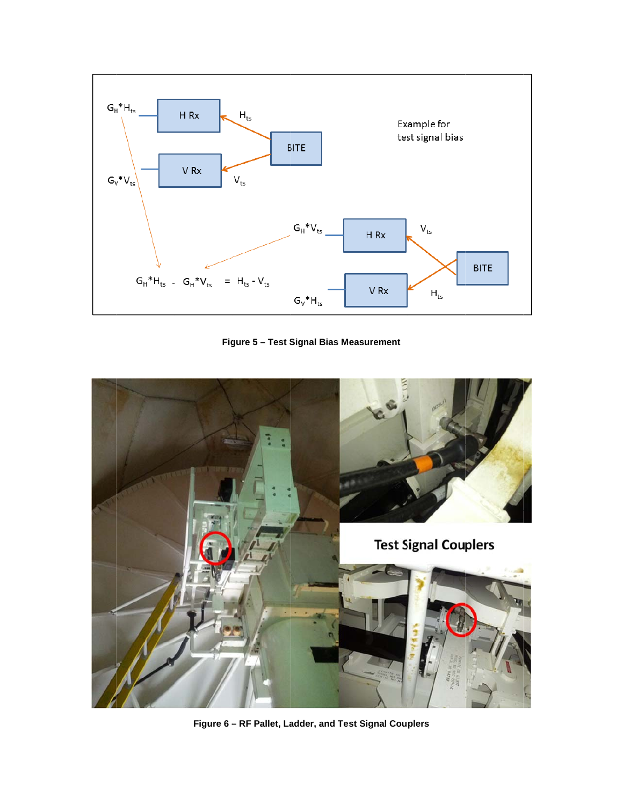

Figure 5 - Test Signal Bias Measurement



Figure 6 - RF Pallet, Ladder, and Test Signal Couplers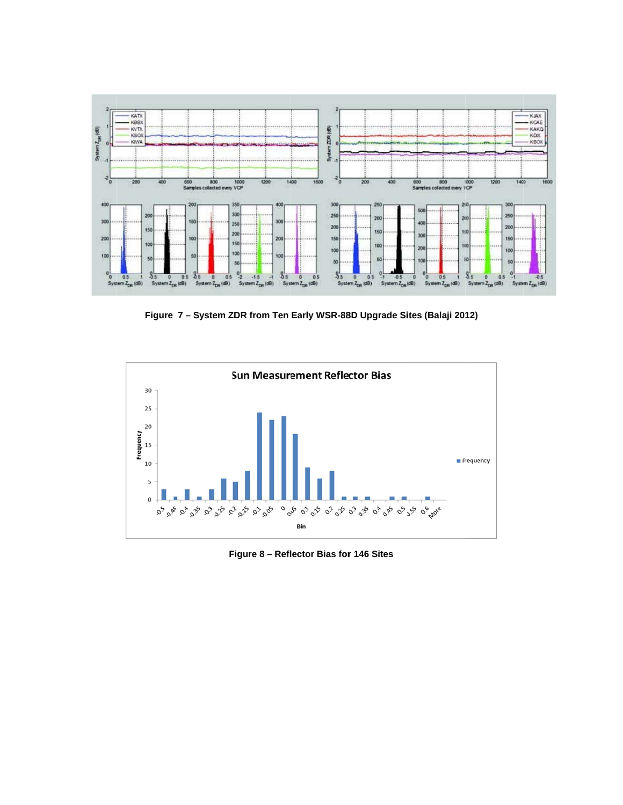

Figure 7 - System ZDR from Ten Early WSR-88D Upgrade Sites (Balaji 2012)



Figure 8 - Reflector Bias for 146 Sites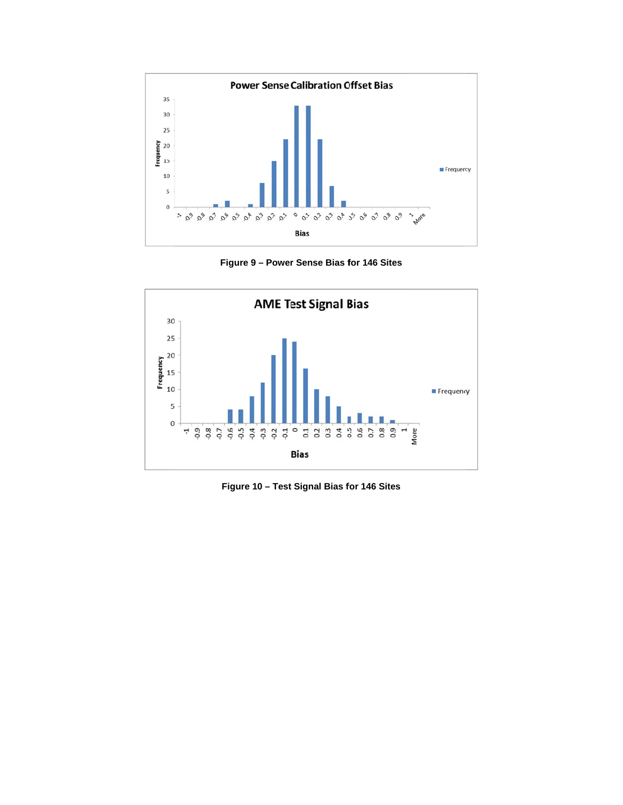

**Figure 9 - Power Sense Bias for 146 Sites** 



**Figure 10 – Test Signal Bias for 146 Sites**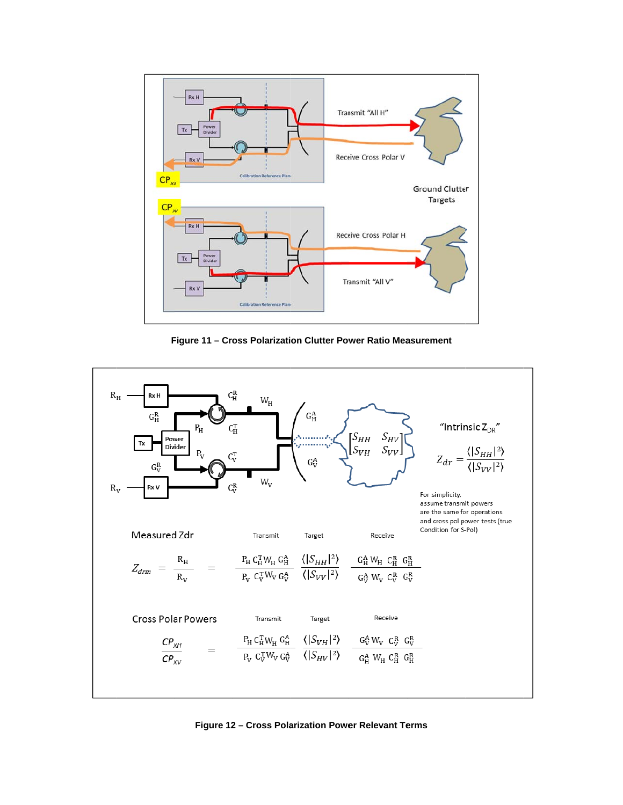

Figure 11 - Cross Polarization Clutter Power Ratio Measurement



Figure 12 - Cross Polarization Power Relevant Terms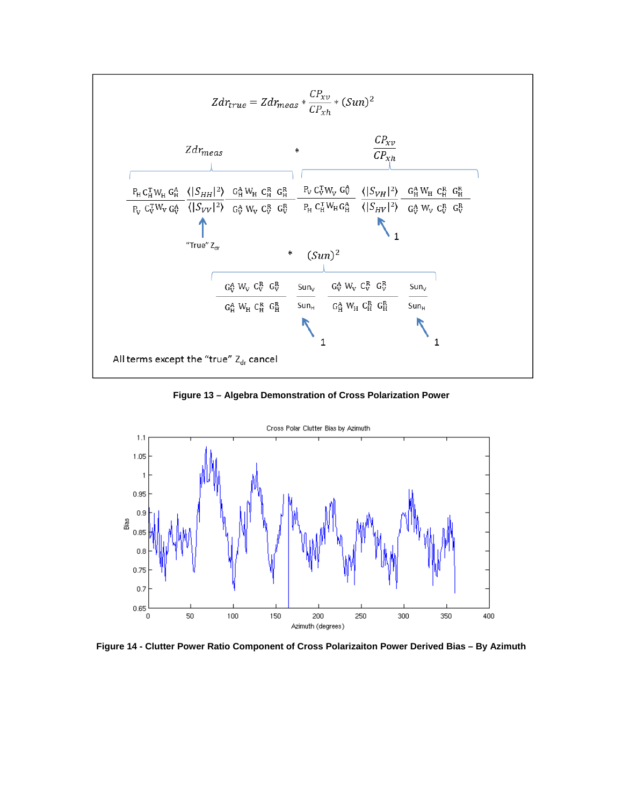

Figure 13 - Algebra Demonstration of Cross Polarization Power



Figure 14 - Clutter Power Ratio Component of Cross Polarizaiton Power Derived Bias - By Azimuth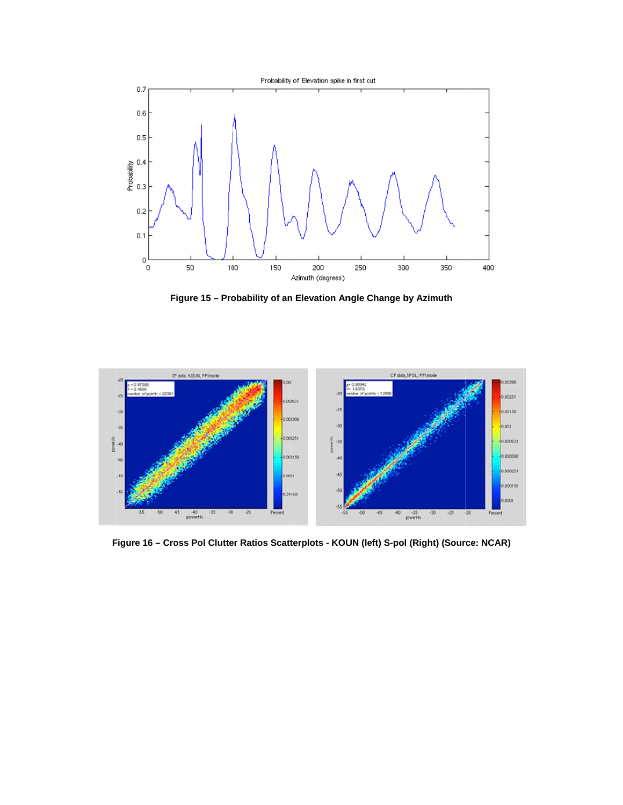

Figure 15 - Probability of an Elevation Angle Change by Azimuth



Figure 16 - Cross Pol Clutter Ratios Scatterplots - KOUN (left) S-pol (Right) (Source: NCAR)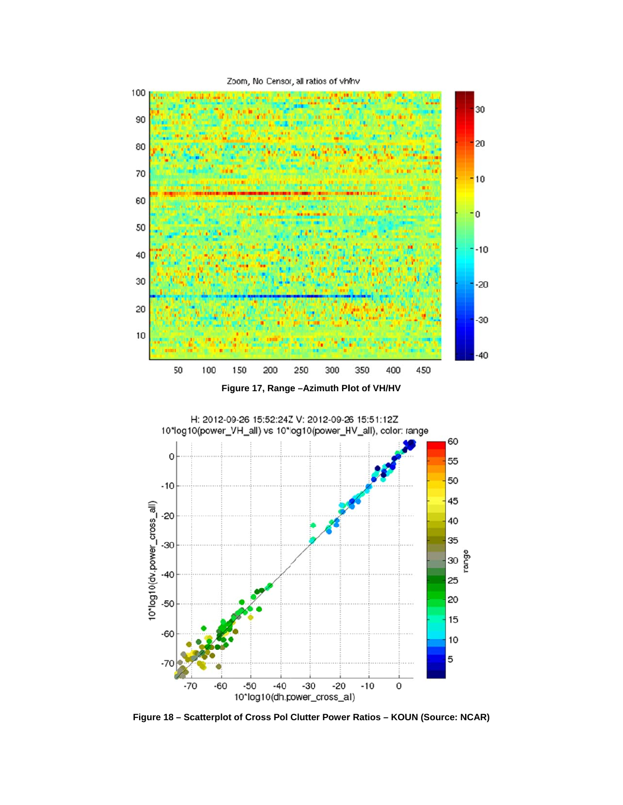

Figure 17, Range - Azimuth Plot of VH/HV



Figure 18 - Scatterplot of Cross Pol Clutter Power Ratios - KOUN (Source: NCAR)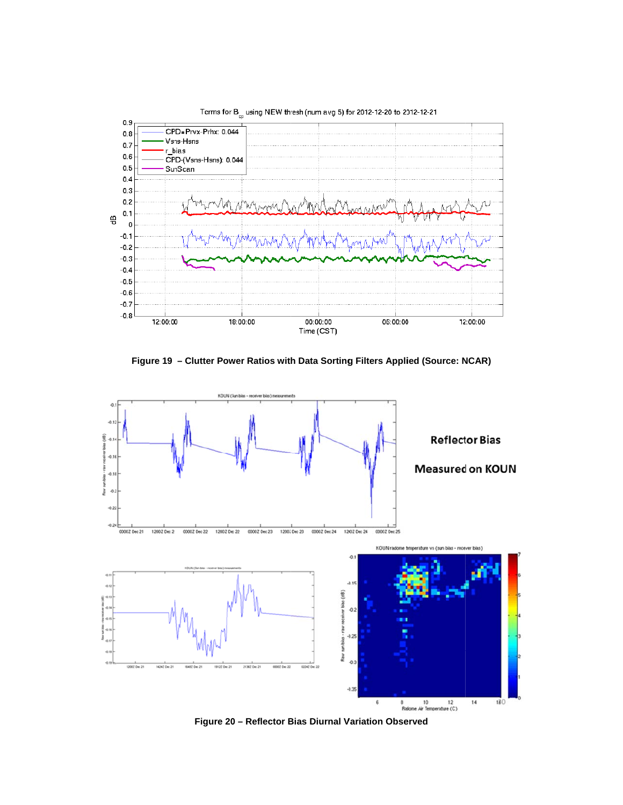

Figure 19 - Clutter Power Ratios with Data Sorting Filters Applied (Source: NCAR)



Figure 20 - Reflector Bias Diurnal Variation Observed